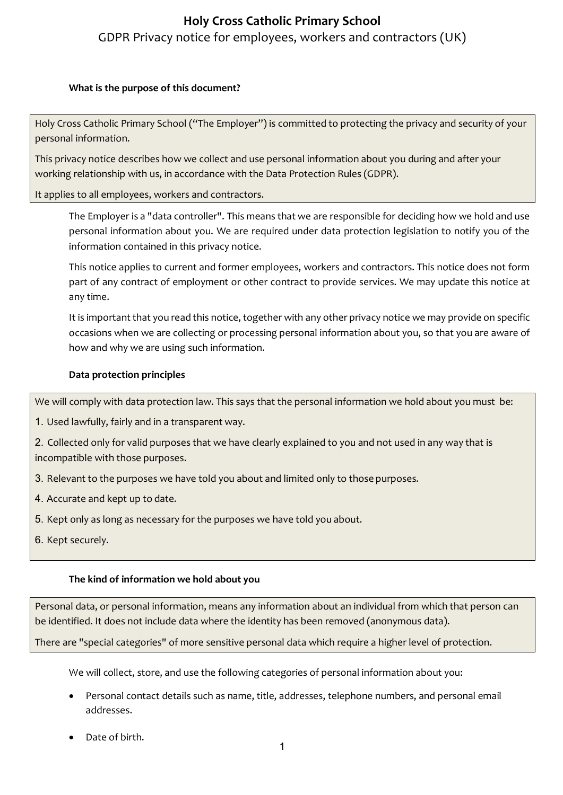### **What is the purpose of this document?**

Holy Cross Catholic Primary School ("The Employer") is committed to protecting the privacy and security of your personal information.

This privacy notice describes how we collect and use personal information about you during and after your working relationship with us, in accordance with the Data Protection Rules (GDPR).

It applies to all employees, workers and contractors.

The Employer is a "data controller". This means that we are responsible for deciding how we hold and use personal information about you. We are required under data protection legislation to notify you of the information contained in this privacy notice.

This notice applies to current and former employees, workers and contractors. This notice does not form part of any contract of employment or other contract to provide services. We may update this notice at any time.

It is important that you read this notice, together with any other privacy notice we may provide on specific occasions when we are collecting or processing personal information about you, so that you are aware of how and why we are using such information.

## **Data protection principles**

We will comply with data protection law. This says that the personal information we hold about you must be:

1. Used lawfully, fairly and in a transparent way.

2. Collected only for valid purposes that we have clearly explained to you and not used in any way that is incompatible with those purposes.

- 3. Relevant to the purposes we have told you about and limited only to those purposes.
- 4. Accurate and kept up to date.
- 5. Kept only as long as necessary for the purposes we have told you about.
- 6. Kept securely.

#### **The kind of information we hold about you**

Personal data, or personal information, means any information about an individual from which that person can be identified. It does not include data where the identity has been removed (anonymous data).

There are "special categories" of more sensitive personal data which require a higher level of protection.

We will collect, store, and use the following categories of personal information about you:

- Personal contact details such as name, title, addresses, telephone numbers, and personal email addresses.
- Date of birth.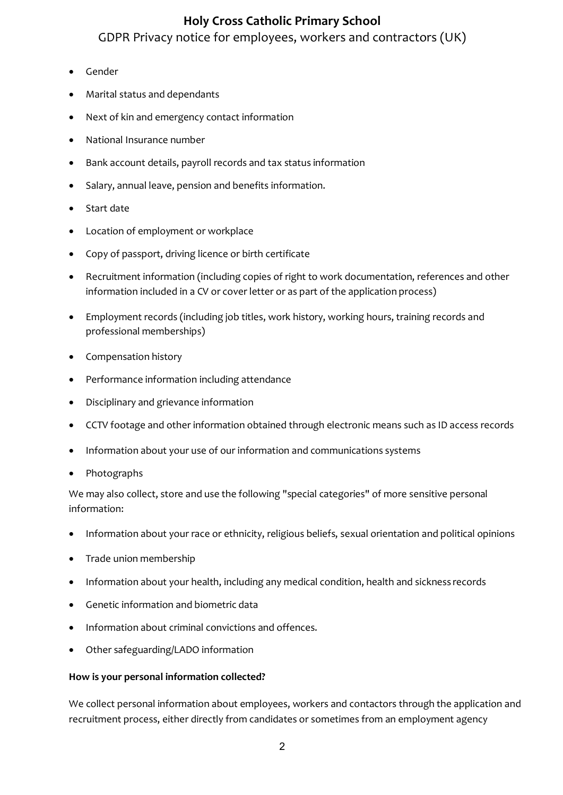## **Holy Cross Catholic Primary School**

GDPR Privacy notice for employees, workers and contractors (UK)

- Gender
- Marital status and dependants
- Next of kin and emergency contact information
- National Insurance number
- Bank account details, payroll records and tax status information
- Salary, annual leave, pension and benefits information.
- Start date
- Location of employment or workplace
- Copy of passport, driving licence or birth certificate
- Recruitment information (including copies of right to work documentation, references and other information included in a CV or cover letter or as part of the application process)
- Employment records (including job titles, work history, working hours, training records and professional memberships)
- Compensation history
- Performance information including attendance
- Disciplinary and grievance information
- CCTV footage and other information obtained through electronic means such as ID access records
- Information about your use of our information and communications systems
- Photographs

We may also collect, store and use the following "special categories" of more sensitive personal information:

- Information about your race or ethnicity, religious beliefs, sexual orientation and political opinions
- Trade union membership
- Information about your health, including any medical condition, health and sickness records
- Genetic information and biometric data
- Information about criminal convictions and offences.
- Other safeguarding/LADO information

## **How is your personal information collected?**

We collect personal information about employees, workers and contactors through the application and recruitment process, either directly from candidates or sometimes from an employment agency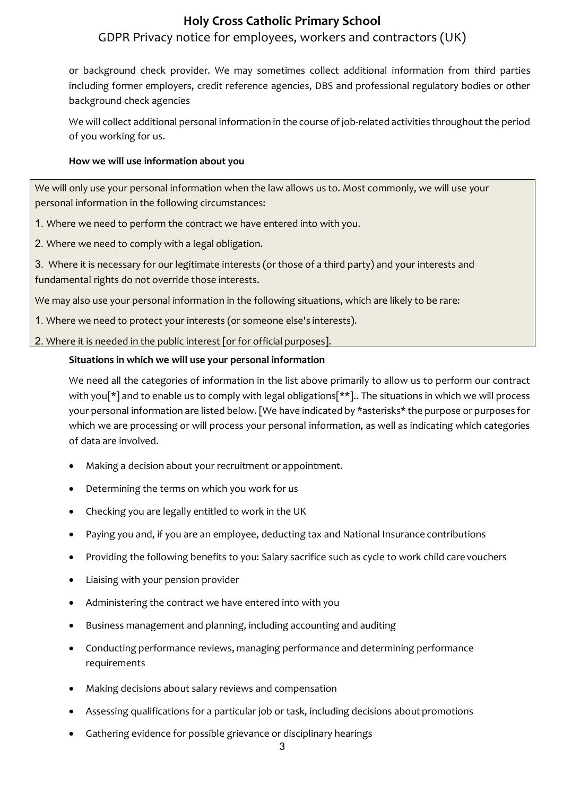or background check provider. We may sometimes collect additional information from third parties including former employers, credit reference agencies, DBS and professional regulatory bodies or other background check agencies

We will collect additional personal information in the course of job-related activities throughout the period of you working for us.

## **How we will use information about you**

We will only use your personal information when the law allows us to. Most commonly, we will use your personal information in the following circumstances:

1. Where we need to perform the contract we have entered into with you.

2. Where we need to comply with a legal obligation.

3. Where it is necessary for our legitimate interests (or those of a third party) and your interests and fundamental rights do not override those interests.

We may also use your personal information in the following situations, which are likely to be rare:

1. Where we need to protect your interests (or someone else's interests).

2. Where it is needed in the public interest [or for official purposes].

## **Situations in which we will use your personal information**

We need all the categories of information in the list above primarily to allow us to perform our contract with you[\*] and to enable us to comply with legal obligations[\*\*].. The situations in which we will process your personal information are listed below. [We have indicated by \*asterisks\* the purpose or purposes for which we are processing or will process your personal information, as well as indicating which categories of data are involved.

- Making a decision about your recruitment or appointment.
- Determining the terms on which you work for us
- Checking you are legally entitled to work in the UK
- Paying you and, if you are an employee, deducting tax and National Insurance contributions
- Providing the following benefits to you: Salary sacrifice such as cycle to work child care vouchers
- Liaising with your pension provider
- Administering the contract we have entered into with you
- Business management and planning, including accounting and auditing
- Conducting performance reviews, managing performance and determining performance requirements
- Making decisions about salary reviews and compensation
- Assessing qualifications for a particular job or task, including decisions about promotions
- Gathering evidence for possible grievance or disciplinary hearings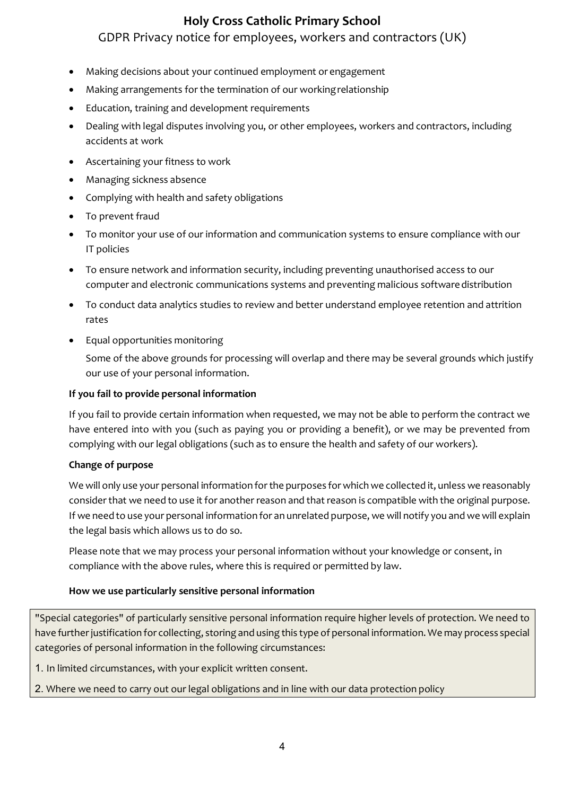- Making decisions about your continued employment or engagement
- Making arrangements for the termination of our working relationship
- Education, training and development requirements
- Dealing with legal disputes involving you, or other employees, workers and contractors, including accidents at work
- Ascertaining your fitness to work
- Managing sickness absence
- Complying with health and safety obligations
- To prevent fraud
- To monitor your use of our information and communication systems to ensure compliance with our IT policies
- To ensure network and information security, including preventing unauthorised access to our computer and electronic communications systems and preventing malicious softwaredistribution
- To conduct data analytics studies to review and better understand employee retention and attrition rates
- Equal opportunities monitoring

Some of the above grounds for processing will overlap and there may be several grounds which justify our use of your personal information.

### **If you fail to provide personal information**

If you fail to provide certain information when requested, we may not be able to perform the contract we have entered into with you (such as paying you or providing a benefit), or we may be prevented from complying with our legal obligations (such as to ensure the health and safety of our workers).

#### **Change of purpose**

We will only use your personal information for the purposes for which we collected it, unless we reasonably consider that we need to use it for another reason and that reason is compatible with the original purpose. If we need to use your personal information for an unrelated purpose, we will notify you and we will explain the legal basis which allows us to do so.

Please note that we may process your personal information without your knowledge or consent, in compliance with the above rules, where this is required or permitted by law.

#### **How we use particularly sensitive personal information**

"Special categories" of particularly sensitive personal information require higher levels of protection. We need to have further justification for collecting, storing and using this type of personal information. We may process special categories of personal information in the following circumstances:

1. In limited circumstances, with your explicit written consent.

2. Where we need to carry out our legal obligations and in line with our data protection policy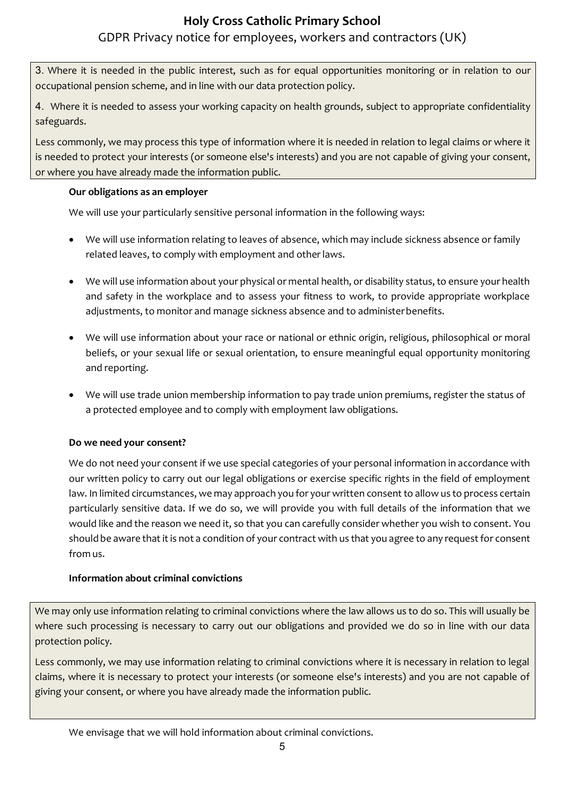3. Where it is needed in the public interest, such as for equal opportunities monitoring or in relation to our occupational pension scheme, and in line with our data protection policy.

4. Where it is needed to assess your working capacity on health grounds, subject to appropriate confidentiality safeguards.

Less commonly, we may process this type of information where it is needed in relation to legal claims or where it is needed to protect your interests (or someone else's interests) and you are not capable of giving your consent, or where you have already made the information public.

## **Our obligations as an employer**

We will use your particularly sensitive personal information in the following ways:

- We will use information relating to leaves of absence, which may include sickness absence or family related leaves, to comply with employment and other laws.
- We will use information about your physical or mental health, or disability status, to ensure your health and safety in the workplace and to assess your fitness to work, to provide appropriate workplace adjustments, to monitor and manage sickness absence and to administerbenefits.
- We will use information about your race or national or ethnic origin, religious, philosophical or moral beliefs, or your sexual life or sexual orientation, to ensure meaningful equal opportunity monitoring and reporting.
- We will use trade union membership information to pay trade union premiums, register the status of a protected employee and to comply with employment law obligations.

## **Do we need your consent?**

We do not need your consent if we use special categories of your personal information in accordance with our written policy to carry out our legal obligations or exercise specific rights in the field of employment law. In limited circumstances, we may approach you for your written consent to allow us to process certain particularly sensitive data. If we do so, we will provide you with full details of the information that we would like and the reason we need it, so that you can carefully consider whether you wish to consent. You should be aware that it is not a condition of your contract with us that you agree to any request for consent from us.

## **Information about criminal convictions**

We may only use information relating to criminal convictions where the law allows us to do so. This will usually be where such processing is necessary to carry out our obligations and provided we do so in line with our data protection policy.

Less commonly, we may use information relating to criminal convictions where it is necessary in relation to legal claims, where it is necessary to protect your interests (or someone else's interests) and you are not capable of giving your consent, or where you have already made the information public.

We envisage that we will hold information about criminal convictions.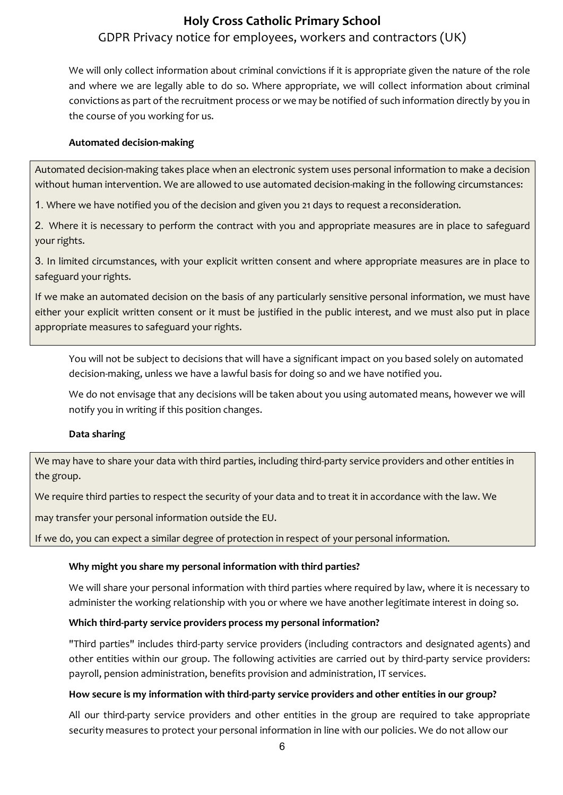We will only collect information about criminal convictions if it is appropriate given the nature of the role and where we are legally able to do so. Where appropriate, we will collect information about criminal convictions as part of the recruitment process or we may be notified of such information directly by you in the course of you working for us.

### **Automated decision-making**

Automated decision-making takes place when an electronic system uses personal information to make a decision without human intervention. We are allowed to use automated decision-making in the following circumstances:

1. Where we have notified you of the decision and given you 21 days to request a reconsideration.

2. Where it is necessary to perform the contract with you and appropriate measures are in place to safeguard your rights.

3. In limited circumstances, with your explicit written consent and where appropriate measures are in place to safeguard your rights.

If we make an automated decision on the basis of any particularly sensitive personal information, we must have either your explicit written consent or it must be justified in the public interest, and we must also put in place appropriate measures to safeguard your rights.

You will not be subject to decisions that will have a significant impact on you based solely on automated decision-making, unless we have a lawful basis for doing so and we have notified you.

We do not envisage that any decisions will be taken about you using automated means, however we will notify you in writing if this position changes.

#### **Data sharing**

We may have to share your data with third parties, including third-party service providers and other entities in the group.

We require third parties to respect the security of your data and to treat it in accordance with the law. We

may transfer your personal information outside the EU.

If we do, you can expect a similar degree of protection in respect of your personal information.

## **Why might you share my personal information with third parties?**

We will share your personal information with third parties where required by law, where it is necessary to administer the working relationship with you or where we have another legitimate interest in doing so.

## **Which third-party service providers process my personal information?**

"Third parties" includes third-party service providers (including contractors and designated agents) and other entities within our group. The following activities are carried out by third-party service providers: payroll, pension administration, benefits provision and administration, IT services.

#### **How secure is my information with third-party service providers and other entities in our group?**

All our third-party service providers and other entities in the group are required to take appropriate security measures to protect your personal information in line with our policies. We do not allow our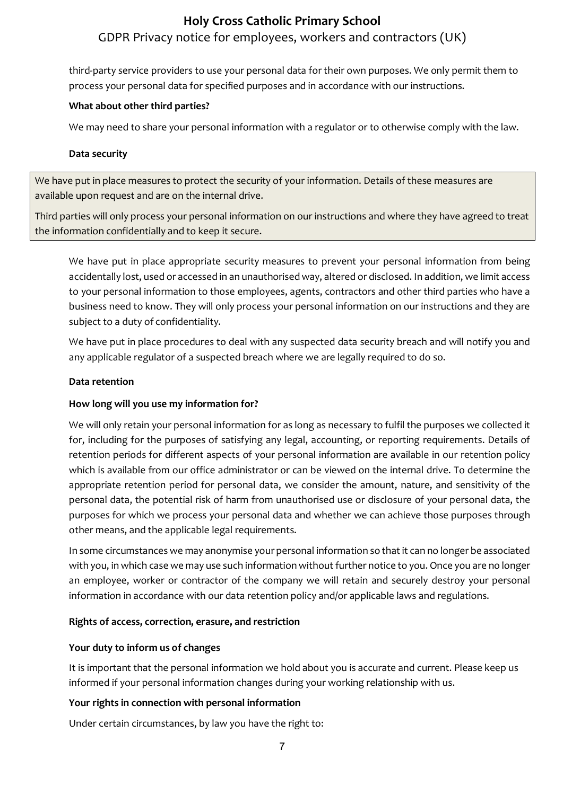third-party service providers to use your personal data for their own purposes. We only permit them to process your personal data for specified purposes and in accordance with our instructions.

## **What about other third parties?**

We may need to share your personal information with a regulator or to otherwise comply with the law.

### **Data security**

We have put in place measures to protect the security of your information. Details of these measures are available upon request and are on the internal drive.

Third parties will only process your personal information on our instructions and where they have agreed to treat the information confidentially and to keep it secure.

We have put in place appropriate security measures to prevent your personal information from being accidentally lost, used or accessed in an unauthorised way, altered or disclosed. In addition, we limit access to your personal information to those employees, agents, contractors and other third parties who have a business need to know. They will only process your personal information on our instructions and they are subject to a duty of confidentiality.

We have put in place procedures to deal with any suspected data security breach and will notify you and any applicable regulator of a suspected breach where we are legally required to do so.

#### **Data retention**

## **How long will you use my information for?**

We will only retain your personal information for as long as necessary to fulfil the purposes we collected it for, including for the purposes of satisfying any legal, accounting, or reporting requirements. Details of retention periods for different aspects of your personal information are available in our retention policy which is available from our office administrator or can be viewed on the internal drive. To determine the appropriate retention period for personal data, we consider the amount, nature, and sensitivity of the personal data, the potential risk of harm from unauthorised use or disclosure of your personal data, the purposes for which we process your personal data and whether we can achieve those purposes through other means, and the applicable legal requirements.

In some circumstances we may anonymise your personal information so that it can no longer be associated with you, in which case we may use such information without further notice to you. Once you are no longer an employee, worker or contractor of the company we will retain and securely destroy your personal information in accordance with our data retention policy and/or applicable laws and regulations.

#### **Rights of access, correction, erasure, and restriction**

#### **Your duty to inform us of changes**

It is important that the personal information we hold about you is accurate and current. Please keep us informed if your personal information changes during your working relationship with us.

## **Your rights in connection with personal information**

Under certain circumstances, by law you have the right to: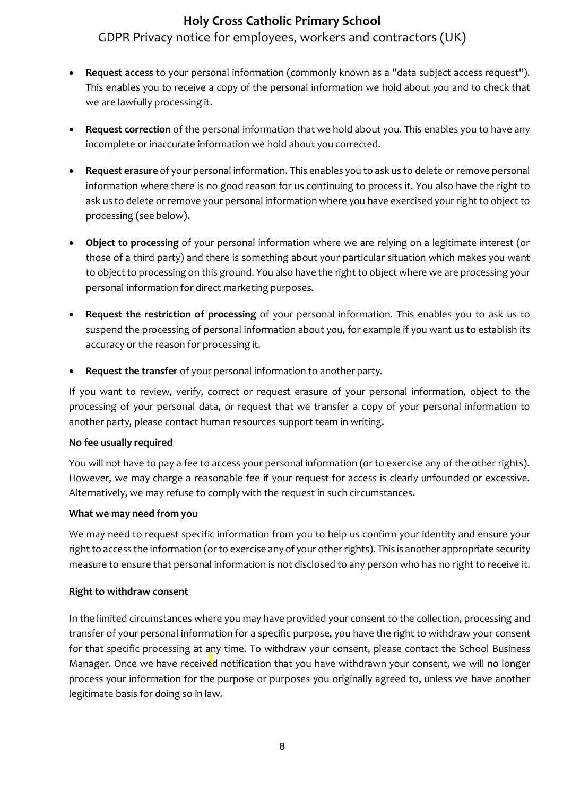- **Request access** to your personal information (commonly known as a "data subject access request"). This enables you to receive a copy of the personal information we hold about you and to check that we are lawfully processing it.
- **Request correction** of the personal information that we hold about you. This enables you to have any incomplete or inaccurate information we hold about you corrected.
- **Request erasure** of your personal information. This enables you to ask us to delete or remove personal information where there is no good reason for us continuing to process it. You also have the right to ask us to delete or remove your personal information where you have exercised your right to object to processing (see below).
- **Object to processing** of your personal information where we are relying on a legitimate interest (or those of a third party) and there is something about your particular situation which makes you want to object to processing on this ground. You also have the right to object where we are processing your personal information for direct marketing purposes.
- **Request the restriction of processing** of your personal information. This enables you to ask us to suspend the processing of personal information about you, for example if you want us to establish its accuracy or the reason for processing it.
- **Request the transfer** of your personal information to another party.

If you want to review, verify, correct or request erasure of your personal information, object to the processing of your personal data, or request that we transfer a copy of your personal information to another party, please contact human resources support team in writing.

#### **No fee usually required**

You will not have to pay a fee to access your personal information (or to exercise any of the other rights). However, we may charge a reasonable fee if your request for access is clearly unfounded or excessive. Alternatively, we may refuse to comply with the request in such circumstances.

## **What we may need from you**

We may need to request specific information from you to help us confirm your identity and ensure your right to access the information (or to exercise any of your other rights). This is another appropriate security measure to ensure that personal information is not disclosed to any person who has no right to receive it.

## **Right to withdraw consent**

In the limited circumstances where you may have provided your consent to the collection, processing and transfer of your personal information for a specific purpose, you have the right to withdraw your consent for that specific processing at any time. To withdraw your consent, please contact the School Business Manager. Once we have received notification that you have withdrawn your consent, we will no longer process your information for the purpose or purposes you originally agreed to, unless we have another legitimate basis for doing so in law.